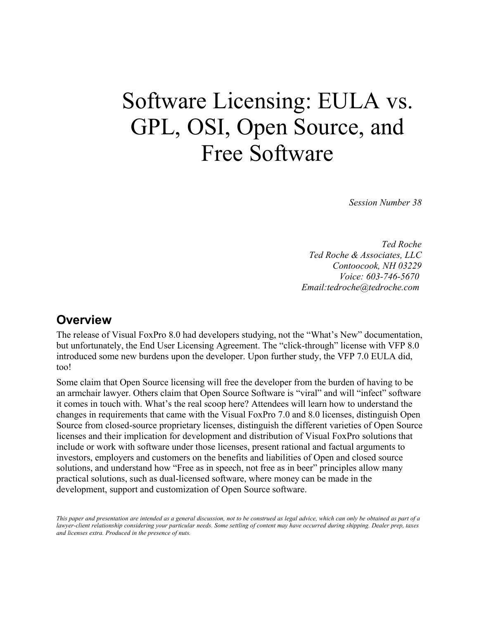# Software Licensing: EULA vs. GPL, OSI, Open Source, and Free Software

*Session Number 38*

*Ted Roche Ted Roche & Associates, LLC Contoocook, NH 03229 Voice: 603-746-5670 Email:tedroche@tedroche.com* 

#### **Overview**

The release of Visual FoxPro 8.0 had developers studying, not the "What's New" documentation, but unfortunately, the End User Licensing Agreement. The "click-through" license with VFP 8.0 introduced some new burdens upon the developer. Upon further study, the VFP 7.0 EULA did, too!

Some claim that Open Source licensing will free the developer from the burden of having to be an armchair lawyer. Others claim that Open Source Software is "viral" and will "infect" software it comes in touch with. What's the real scoop here? Attendees will learn how to understand the changes in requirements that came with the Visual FoxPro 7.0 and 8.0 licenses, distinguish Open Source from closed-source proprietary licenses, distinguish the different varieties of Open Source licenses and their implication for development and distribution of Visual FoxPro solutions that include or work with software under those licenses, present rational and factual arguments to investors, employers and customers on the benefits and liabilities of Open and closed source solutions, and understand how "Free as in speech, not free as in beer" principles allow many practical solutions, such as dual-licensed software, where money can be made in the development, support and customization of Open Source software.

*This paper and presentation are intended as a general discussion, not to be construed as legal advice, which can only be obtained as part of a lawyer-client relationship considering your particular needs. Some settling of content may have occurred during shipping. Dealer prep, taxes and licenses extra. Produced in the presence of nuts.*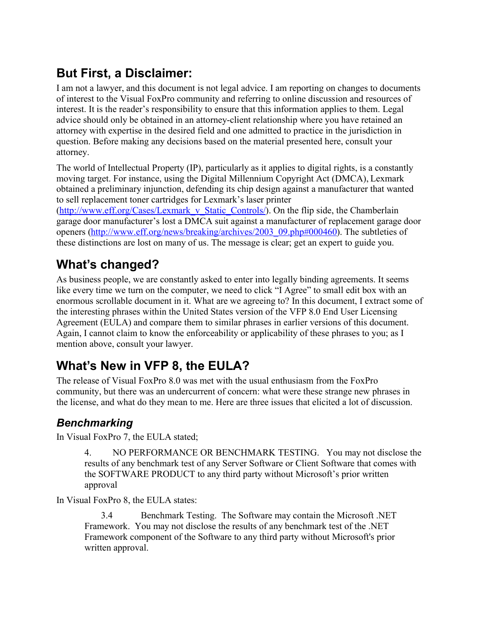## **But First, a Disclaimer:**

I am not a lawyer, and this document is not legal advice. I am reporting on changes to documents of interest to the Visual FoxPro community and referring to online discussion and resources of interest. It is the reader's responsibility to ensure that this information applies to them. Legal advice should only be obtained in an attorney-client relationship where you have retained an attorney with expertise in the desired field and one admitted to practice in the jurisdiction in question. Before making any decisions based on the material presented here, consult your attorney.

The world of Intellectual Property (IP), particularly as it applies to digital rights, is a constantly moving target. For instance, using the Digital Millennium Copyright Act (DMCA), Lexmark obtained a preliminary injunction, defending its chip design against a manufacturer that wanted to sell replacement toner cartridges for Lexmark's laser printer

(http://www.eff.org/Cases/Lexmark v Static Controls/). On the flip side, the Chamberlain garage door manufacturer's lost a DMCA suit against a manufacturer of replacement garage door openers (http://www.eff.org/news/breaking/archives/2003 09.php#000460). The subtleties of these distinctions are lost on many of us. The message is clear; get an expert to guide you.

## **What's changed?**

As business people, we are constantly asked to enter into legally binding agreements. It seems like every time we turn on the computer, we need to click "I Agree" to small edit box with an enormous scrollable document in it. What are we agreeing to? In this document, I extract some of the interesting phrases within the United States version of the VFP 8.0 End User Licensing Agreement (EULA) and compare them to similar phrases in earlier versions of this document. Again, I cannot claim to know the enforceability or applicability of these phrases to you; as I mention above, consult your lawyer.

# **What's New in VFP 8, the EULA?**

The release of Visual FoxPro 8.0 was met with the usual enthusiasm from the FoxPro community, but there was an undercurrent of concern: what were these strange new phrases in the license, and what do they mean to me. Here are three issues that elicited a lot of discussion.

### *Benchmarking*

In Visual FoxPro 7, the EULA stated;

4. NO PERFORMANCE OR BENCHMARK TESTING. You may not disclose the results of any benchmark test of any Server Software or Client Software that comes with the SOFTWARE PRODUCT to any third party without Microsoft's prior written approval

In Visual FoxPro 8, the EULA states:

 3.4 Benchmark Testing. The Software may contain the Microsoft .NET Framework. You may not disclose the results of any benchmark test of the .NET Framework component of the Software to any third party without Microsoft's prior written approval.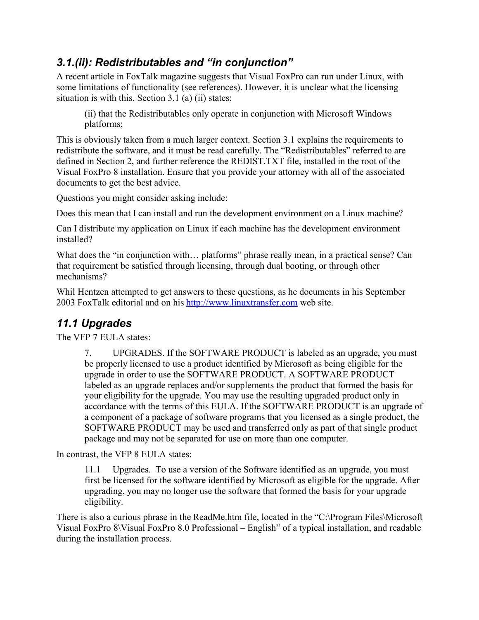#### *3.1.(ii): Redistributables and "in conjunction"*

A recent article in FoxTalk magazine suggests that Visual FoxPro can run under Linux, with some limitations of functionality (see references). However, it is unclear what the licensing situation is with this. Section 3.1 (a) (ii) states:

(ii) that the Redistributables only operate in conjunction with Microsoft Windows platforms;

This is obviously taken from a much larger context. Section 3.1 explains the requirements to redistribute the software, and it must be read carefully. The "Redistributables" referred to are defined in Section 2, and further reference the REDIST.TXT file, installed in the root of the Visual FoxPro 8 installation. Ensure that you provide your attorney with all of the associated documents to get the best advice.

Questions you might consider asking include:

Does this mean that I can install and run the development environment on a Linux machine?

Can I distribute my application on Linux if each machine has the development environment installed?

What does the "in conjunction with... platforms" phrase really mean, in a practical sense? Can that requirement be satisfied through licensing, through dual booting, or through other mechanisms?

Whil Hentzen attempted to get answers to these questions, as he documents in his September 2003 FoxTalk editorial and on his http://www.linuxtransfer.com web site.

### *11.1 Upgrades*

The VFP 7 EULA states:

7. UPGRADES. If the SOFTWARE PRODUCT is labeled as an upgrade, you must be properly licensed to use a product identified by Microsoft as being eligible for the upgrade in order to use the SOFTWARE PRODUCT. A SOFTWARE PRODUCT labeled as an upgrade replaces and/or supplements the product that formed the basis for your eligibility for the upgrade. You may use the resulting upgraded product only in accordance with the terms of this EULA. If the SOFTWARE PRODUCT is an upgrade of a component of a package of software programs that you licensed as a single product, the SOFTWARE PRODUCT may be used and transferred only as part of that single product package and may not be separated for use on more than one computer.

In contrast, the VFP 8 EULA states:

11.1 Upgrades. To use a version of the Software identified as an upgrade, you must first be licensed for the software identified by Microsoft as eligible for the upgrade. After upgrading, you may no longer use the software that formed the basis for your upgrade eligibility.

There is also a curious phrase in the ReadMe.htm file, located in the "C:\Program Files\Microsoft Visual FoxPro 8\Visual FoxPro 8.0 Professional – English" of a typical installation, and readable during the installation process.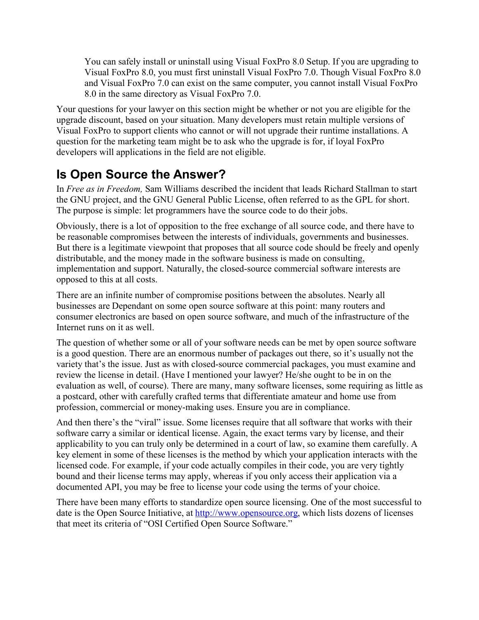You can safely install or uninstall using Visual FoxPro 8.0 Setup. If you are upgrading to Visual FoxPro 8.0, you must first uninstall Visual FoxPro 7.0. Though Visual FoxPro 8.0 and Visual FoxPro 7.0 can exist on the same computer, you cannot install Visual FoxPro 8.0 in the same directory as Visual FoxPro 7.0.

Your questions for your lawyer on this section might be whether or not you are eligible for the upgrade discount, based on your situation. Many developers must retain multiple versions of Visual FoxPro to support clients who cannot or will not upgrade their runtime installations. A question for the marketing team might be to ask who the upgrade is for, if loyal FoxPro developers will applications in the field are not eligible.

## **Is Open Source the Answer?**

In *Free as in Freedom,* Sam Williams described the incident that leads Richard Stallman to start the GNU project, and the GNU General Public License, often referred to as the GPL for short. The purpose is simple: let programmers have the source code to do their jobs.

Obviously, there is a lot of opposition to the free exchange of all source code, and there have to be reasonable compromises between the interests of individuals, governments and businesses. But there is a legitimate viewpoint that proposes that all source code should be freely and openly distributable, and the money made in the software business is made on consulting, implementation and support. Naturally, the closed-source commercial software interests are opposed to this at all costs.

There are an infinite number of compromise positions between the absolutes. Nearly all businesses are Dependant on some open source software at this point: many routers and consumer electronics are based on open source software, and much of the infrastructure of the Internet runs on it as well.

The question of whether some or all of your software needs can be met by open source software is a good question. There are an enormous number of packages out there, so it's usually not the variety that's the issue. Just as with closed-source commercial packages, you must examine and review the license in detail. (Have I mentioned your lawyer? He/she ought to be in on the evaluation as well, of course). There are many, many software licenses, some requiring as little as a postcard, other with carefully crafted terms that differentiate amateur and home use from profession, commercial or money-making uses. Ensure you are in compliance.

And then there's the "viral" issue. Some licenses require that all software that works with their software carry a similar or identical license. Again, the exact terms vary by license, and their applicability to you can truly only be determined in a court of law, so examine them carefully. A key element in some of these licenses is the method by which your application interacts with the licensed code. For example, if your code actually compiles in their code, you are very tightly bound and their license terms may apply, whereas if you only access their application via a documented API, you may be free to license your code using the terms of your choice.

There have been many efforts to standardize open source licensing. One of the most successful to date is the Open Source Initiative, at http://www.opensource.org, which lists dozens of licenses that meet its criteria of "OSI Certified Open Source Software."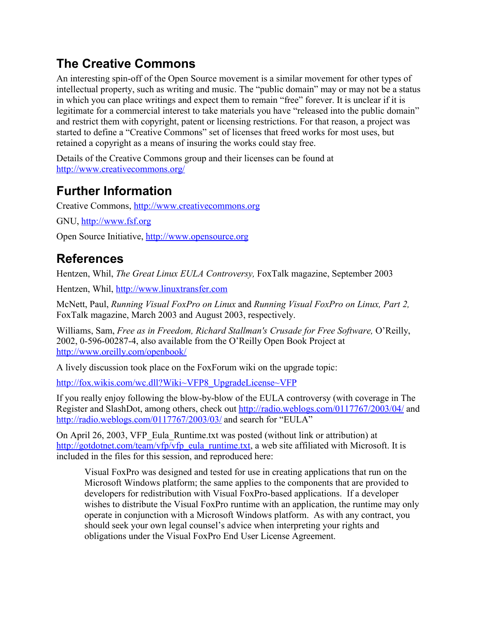## **The Creative Commons**

An interesting spin-off of the Open Source movement is a similar movement for other types of intellectual property, such as writing and music. The "public domain" may or may not be a status in which you can place writings and expect them to remain "free" forever. It is unclear if it is legitimate for a commercial interest to take materials you have "released into the public domain" and restrict them with copyright, patent or licensing restrictions. For that reason, a project was started to define a "Creative Commons" set of licenses that freed works for most uses, but retained a copyright as a means of insuring the works could stay free.

Details of the Creative Commons group and their licenses can be found at http://www.creativecommons.org/

## **Further Information**

Creative Commons, http://www.creativecommons.org

GNU, http:// www.fsf.org

Open Source Initiative, http://www.opensource.org

### **References**

Hentzen, Whil, *The Great Linux EULA Controversy,* FoxTalk magazine, September 2003

Hentzen, Whil, http://www.linuxtransfer.com

McNett, Paul, *Running Visual FoxPro on Linux* and *Running Visual FoxPro on Linux, Part 2,* FoxTalk magazine, March 2003 and August 2003, respectively.

Williams, Sam, *Free as in Freedom, Richard Stallman's Crusade for Free Software,* O'Reilly, 2002, 0-596-00287-4, also available from the O'Reilly Open Book Project at http://www.oreilly.com/openbook/

A lively discussion took place on the FoxForum wiki on the upgrade topic:

http://fox.wikis.com/wc.dll?Wiki~VFP8\_UpgradeLicense~VFP

If you really enjoy following the blow-by-blow of the EULA controversy (with coverage in The Register and SlashDot, among others, check out http://radio.weblogs.com/0117767/2003/04/ and http://radio.weblogs.com/0117767/2003/03/ and search for "EULA"

On April 26, 2003, VFP\_Eula\_Runtime.txt was posted (without link or attribution) at http://gotdotnet.com/team/vfp/vfp\_eula\_runtime.txt, a web site affiliated with Microsoft. It is included in the files for this session, and reproduced here:

Visual FoxPro was designed and tested for use in creating applications that run on the Microsoft Windows platform; the same applies to the components that are provided to developers for redistribution with Visual FoxPro-based applications. If a developer wishes to distribute the Visual FoxPro runtime with an application, the runtime may only operate in conjunction with a Microsoft Windows platform. As with any contract, you should seek your own legal counsel's advice when interpreting your rights and obligations under the Visual FoxPro End User License Agreement.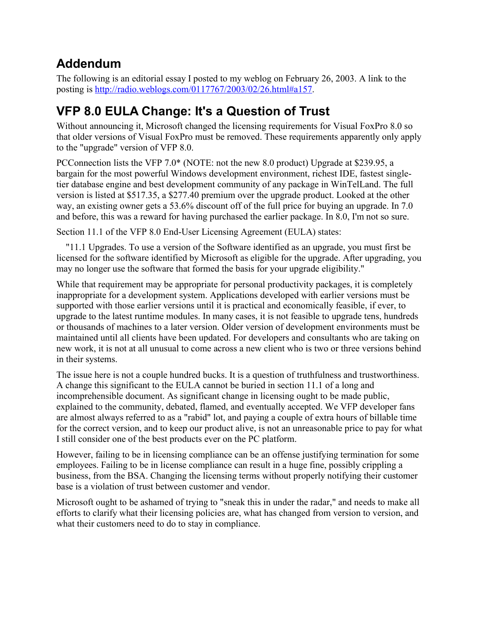## **Addendum**

The following is an editorial essay I posted to my weblog on February 26, 2003. A link to the posting is http://radio.weblogs.com/0117767/2003/02/26.html#a157.

## **VFP 8.0 EULA Change: It's a Question of Trust**

Without announcing it, Microsoft changed the licensing requirements for Visual FoxPro 8.0 so that older versions of Visual FoxPro must be removed. These requirements apparently only apply to the "upgrade" version of VFP 8.0.

PCConnection lists the VFP 7.0\* (NOTE: not the new 8.0 product) Upgrade at \$239.95, a bargain for the most powerful Windows development environment, richest IDE, fastest singletier database engine and best development community of any package in WinTelLand. The full version is listed at \$517.35, a \$277.40 premium over the upgrade product. Looked at the other way, an existing owner gets a 53.6% discount off of the full price for buying an upgrade. In 7.0 and before, this was a reward for having purchased the earlier package. In 8.0, I'm not so sure.

Section 11.1 of the VFP 8.0 End-User Licensing Agreement (EULA) states:

 "11.1 Upgrades. To use a version of the Software identified as an upgrade, you must first be licensed for the software identified by Microsoft as eligible for the upgrade. After upgrading, you may no longer use the software that formed the basis for your upgrade eligibility."

While that requirement may be appropriate for personal productivity packages, it is completely inappropriate for a development system. Applications developed with earlier versions must be supported with those earlier versions until it is practical and economically feasible, if ever, to upgrade to the latest runtime modules. In many cases, it is not feasible to upgrade tens, hundreds or thousands of machines to a later version. Older version of development environments must be maintained until all clients have been updated. For developers and consultants who are taking on new work, it is not at all unusual to come across a new client who is two or three versions behind in their systems.

The issue here is not a couple hundred bucks. It is a question of truthfulness and trustworthiness. A change this significant to the EULA cannot be buried in section 11.1 of a long and incomprehensible document. As significant change in licensing ought to be made public, explained to the community, debated, flamed, and eventually accepted. We VFP developer fans are almost always referred to as a "rabid" lot, and paying a couple of extra hours of billable time for the correct version, and to keep our product alive, is not an unreasonable price to pay for what I still consider one of the best products ever on the PC platform.

However, failing to be in licensing compliance can be an offense justifying termination for some employees. Failing to be in license compliance can result in a huge fine, possibly crippling a business, from the BSA. Changing the licensing terms without properly notifying their customer base is a violation of trust between customer and vendor.

Microsoft ought to be ashamed of trying to "sneak this in under the radar," and needs to make all efforts to clarify what their licensing policies are, what has changed from version to version, and what their customers need to do to stay in compliance.